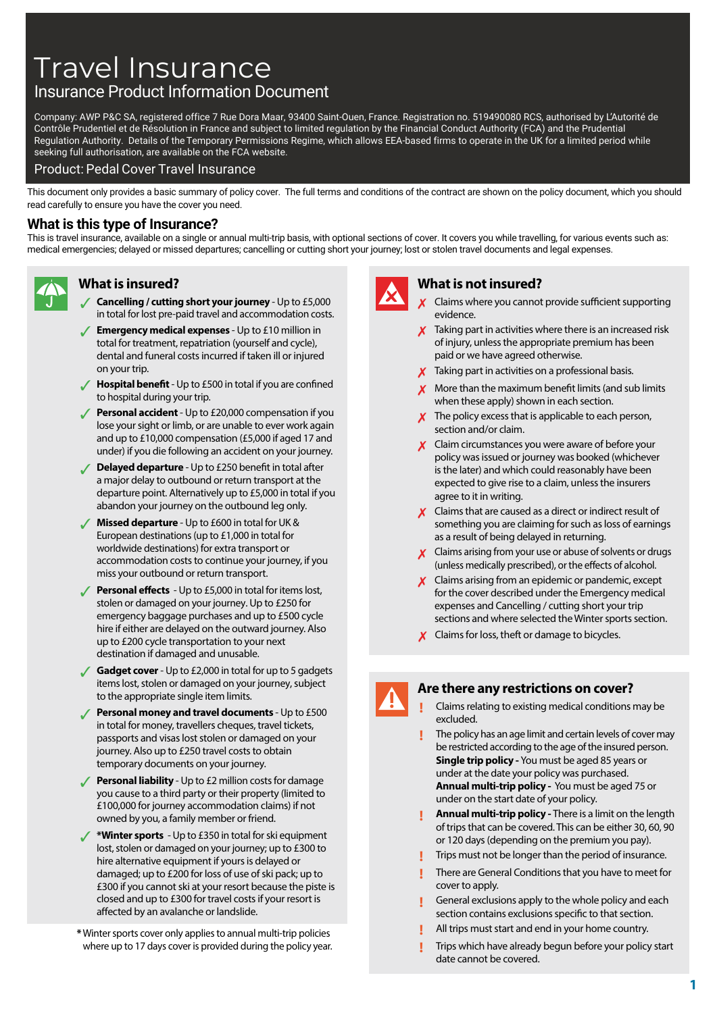# Travel Insurance

# Insurance Product Information Document

Company: AWP P&C SA, registered office 7 Rue Dora Maar, 93400 Saint-Ouen, France. Registration no. 519490080 RCS, authorised by L'Autorité de Contrôle Prudentiel et de Résolution in France and subject to limited regulation by the Financial Conduct Authority (FCA) and the Prudential Regulation Authority. Details of the Temporary Permissions Regime, which allows EEA-based firms to operate in the UK for a limited period while seeking full authorisation, are available on the FCA website.

### Product: Pedal Cover Travel Insurance

This document only provides a basic summary of policy cover. The full terms and conditions of the contract are shown on the policy document, which you should read carefully to ensure you have the cover you need.

# **What is this type of Insurance?**

This is travel insurance, available on a single or annual multi-trip basis, with optional sections of cover. It covers you while travelling, for various events such as: medical emergencies; delayed or missed departures; cancelling or cutting short your journey; lost or stolen travel documents and legal expenses.



- 3 **Cancelling / cutting short your journey** Up to £5,000 in total for lost pre-paid travel and accommodation costs.
- **Emergency medical expenses** Up to £10 million in total for treatment, repatriation (yourself and cycle), dental and funeral costs incurred if taken ill or injured on your trip.
- **/ Hospital benefit** Up to £500 in total if you are confined to hospital during your trip.
- **Personal accident** Up to £20,000 compensation if you lose your sight or limb, or are unable to ever work again and up to £10,000 compensation (£5,000 if aged 17 and under) if you die following an accident on your journey.
- **Delayed departure** Up to £250 benefit in total after a major delay to outbound or return transport at the departure point. Alternatively up to £5,000 in total if you abandon your journey on the outbound leg only.
- 3 **Missed departure** Up to £600 in total for UK & European destinations (up to £1,000 in total for worldwide destinations) for extra transport or accommodation costs to continue your journey, if you miss your outbound or return transport.
- **Personal effects** Up to £5,000 in total for items lost, stolen or damaged on your journey. Up to £250 for emergency baggage purchases and up to £500 cycle hire if either are delayed on the outward journey. Also up to £200 cycle transportation to your next destination if damaged and unusable.
- **Gadget cover** Up to £2,000 in total for up to 5 gadgets items lost, stolen or damaged on your journey, subject to the appropriate single item limits.
- **Personal money and travel documents Up to £500** in total for money, travellers cheques, travel tickets, passports and visas lost stolen or damaged on your journey. Also up to £250 travel costs to obtain temporary documents on your journey.
- **Personal liability** Up to £2 million costs for damage you cause to a third party or their property (limited to £100,000 for journey accommodation claims) if not owned by you, a family member or friend.
- 3 **\*Winter sports**  Up to £350 in total for ski equipment lost, stolen or damaged on your journey; up to £300 to hire alternative equipment if yours is delayed or damaged; up to £200 for loss of use of ski pack; up to £300 if you cannot ski at your resort because the piste is closed and up to £300 for travel costs if your resort is affected by an avalanche or landslide.
- **\***Winter sports cover only applies to annual multi-trip policies where up to 17 days cover is provided during the policy year.



### **What is insured? What is not insured?**

- 7 Claims where you cannot provide sufficient supporting evidence.
- $\boldsymbol{X}$  Taking part in activities where there is an increased risk of injury, unless the appropriate premium has been paid or we have agreed otherwise.
- $\boldsymbol{X}$  Taking part in activities on a professional basis.
- More than the maximum benefit limits (and sub limits when these apply) shown in each section.
- The policy excess that is applicable to each person, section and/or claim.
- $\boldsymbol{X}$  Claim circumstances you were aware of before your policy was issued or journey was booked (whichever is the later) and which could reasonably have been expected to give rise to a claim, unless the insurers agree to it in writing.
- $\boldsymbol{\chi}$  Claims that are caused as a direct or indirect result of something you are claiming for such as loss of earnings as a result of being delayed in returning.
- Claims arising from your use or abuse of solvents or drugs (unless medically prescribed), or the effects of alcohol.
- $\boldsymbol{X}$  Claims arising from an epidemic or pandemic, except for the cover described under the Emergency medical expenses and Cancelling / cutting short your trip sections and where selected the Winter sports section.
- $\boldsymbol{X}$  Claims for loss, theft or damage to bicycles.

#### **Are there any restrictions on cover?**

- - **!** Claims relating to existing medical conditions may be excluded.
	- **!** The policy has an age limit and certain levels of cover may be restricted according to the age of the insured person. **Single trip policy -** You must be aged 85 years or under at the date your policy was purchased. **Annual multi-trip policy -** You must be aged 75 or under on the start date of your policy.
	- **! Annual multi-trip policy** There is a limit on the length of trips that can be covered. This can be either 30, 60, 90 or 120 days (depending on the premium you pay).
	- **!** Trips must not be longer than the period of insurance.
	- **!** There are General Conditions that you have to meet for cover to apply.
	- **!** General exclusions apply to the whole policy and each section contains exclusions specific to that section.
	- **!** All trips must start and end in your home country.
	- **!** Trips which have already begun before your policy start date cannot be covered.